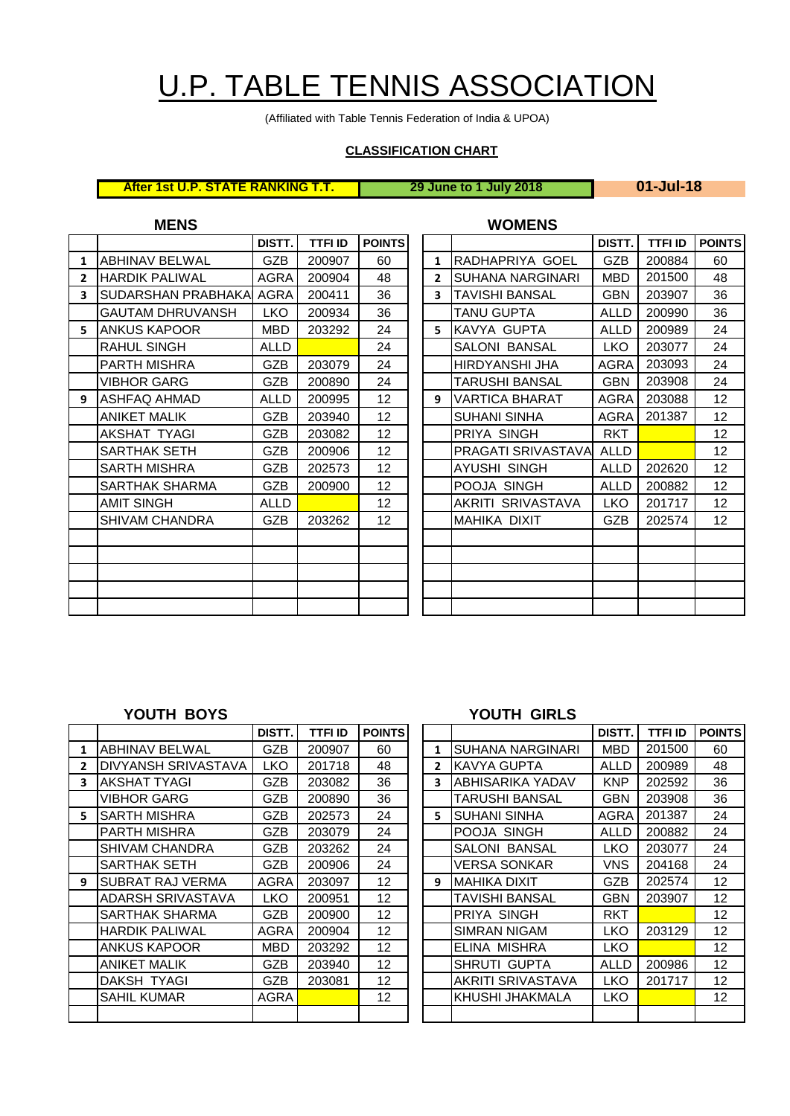# U.P. TABLE TENNIS ASSOCIATION

(Affiliated with Table Tennis Federation of India & UPOA)

## **CLASSIFICATION CHART**

| <b>After 1st U.P. STATE RANKING T.T.</b> | 29 June to 1 July |
|------------------------------------------|-------------------|
|------------------------------------------|-------------------|

**After 1st U.P. STATE RANKING T.T. 29 June to 1 July 2018 01-Jul-18**

| <b>MENS</b>  |                           |             |                |                 |  |              | <b>WOMENS</b>           |             |                |             |
|--------------|---------------------------|-------------|----------------|-----------------|--|--------------|-------------------------|-------------|----------------|-------------|
|              |                           | DISTT.      | <b>TTFI ID</b> | <b>POINTS</b>   |  |              |                         | DISTT.      | <b>TTFI ID</b> | <b>POIN</b> |
| $\mathbf{1}$ | <b>ABHINAV BELWAL</b>     | <b>GZB</b>  | 200907         | 60              |  | $\mathbf{1}$ | RADHAPRIYA GOEL         | GZB         | 200884         | 60          |
| $\mathbf{2}$ | IHARDIK PALIWAL           | AGRA        | 200904         | 48              |  | $\mathbf{2}$ | <b>SUHANA NARGINARI</b> | <b>MBD</b>  | 201500         | 48          |
| 3            | <b>SUDARSHAN PRABHAKA</b> | <b>AGRA</b> | 200411         | 36              |  | 3            | <b>TAVISHI BANSAL</b>   | <b>GBN</b>  | 203907         | 36          |
|              | GAUTAM DHRUVANSH          | LKO.        | 200934         | 36              |  |              | TANU GUPTA              | ALLD        | 200990         | 36          |
| 5.           | <b>ANKUS KAPOOR</b>       | <b>MBD</b>  | 203292         | 24              |  | 5.           | KAVYA GUPTA             | <b>ALLD</b> | 200989         | 24          |
|              | RAHUL SINGH               | <b>ALLD</b> |                | 24              |  |              | SALONI BANSAL           | <b>LKO</b>  | 203077         | 24          |
|              | PARTH MISHRA              | <b>GZB</b>  | 203079         | 24              |  |              | HIRDYANSHI JHA          | <b>AGRA</b> | 203093         | 24          |
|              | <b>VIBHOR GARG</b>        | <b>GZB</b>  | 200890         | 24              |  |              | TARUSHI BANSAL          | <b>GBN</b>  | 203908         | 24          |
| 9            | <b>ASHFAQ AHMAD</b>       | <b>ALLD</b> | 200995         | 12              |  | 9            | VARTICA BHARAT          | <b>AGRA</b> | 203088         | 12          |
|              | <b>ANIKET MALIK</b>       | GZB         | 203940         | 12 <sub>2</sub> |  |              | <b>SUHANI SINHA</b>     | <b>AGRA</b> | 201387         | 12          |
|              | AKSHAT TYAGI              | <b>GZB</b>  | 203082         | 12              |  |              | PRIYA SINGH             | <b>RKT</b>  |                | 12          |
|              | SARTHAK SETH              | <b>GZB</b>  | 200906         | 12              |  |              | PRAGATI SRIVASTAVA      | <b>ALLD</b> |                | 12          |
|              | <b>SARTH MISHRA</b>       | <b>GZB</b>  | 202573         | 12              |  |              | <b>AYUSHI SINGH</b>     | <b>ALLD</b> | 202620         | 12          |
|              | SARTHAK SHARMA            | <b>GZB</b>  | 200900         | 12 <sup>2</sup> |  |              | POOJA SINGH             | <b>ALLD</b> | 200882         | 12          |
|              | <b>AMIT SINGH</b>         | ALLD        |                | 12 <sub>2</sub> |  |              | AKRITI SRIVASTAVA       | LKO         | 201717         | 12          |
|              | <b>SHIVAM CHANDRA</b>     | <b>GZB</b>  | 203262         | 12              |  |              | <b>MAHIKA DIXIT</b>     | GZB         | 202574         | 12          |
|              |                           |             |                |                 |  |              |                         |             |                |             |
|              |                           |             |                |                 |  |              |                         |             |                |             |
|              |                           |             |                |                 |  |              |                         |             |                |             |
|              |                           |             |                |                 |  |              |                         |             |                |             |
|              |                           |             |                |                 |  |              |                         |             |                |             |

| DISTT.      | <b>TTFI ID</b> | <b>POINTS</b>   |                |                       | DISTT.      | <b>TTFI ID</b> | <b>POINTS</b>   |
|-------------|----------------|-----------------|----------------|-----------------------|-------------|----------------|-----------------|
| GZB         | 200907         | 60              | $\mathbf{1}$   | RADHAPRIYA GOEL       | GZB         | 200884         | 60              |
| AGRA        | 200904         | 48              | $\overline{2}$ | SUHANA NARGINARI      | <b>MBD</b>  | 201500         | 48              |
| AGRA        | 200411         | 36              | 3              | <b>TAVISHI BANSAL</b> | <b>GBN</b>  | 203907         | 36              |
| <b>LKO</b>  | 200934         | 36              |                | TANU GUPTA            | <b>ALLD</b> | 200990         | 36              |
| <b>MBD</b>  | 203292         | 24              | 5.             | KAVYA GUPTA           | <b>ALLD</b> | 200989         | 24              |
| <b>ALLD</b> |                | 24              |                | <b>SALONI BANSAL</b>  | <b>LKO</b>  | 203077         | 24              |
| GZB         | 203079         | 24              |                | HIRDYANSHI JHA        | AGRA        | 203093         | 24              |
| <b>GZB</b>  | 200890         | 24              |                | TARUSHI BANSAL        | <b>GBN</b>  | 203908         | 24              |
| <b>ALLD</b> | 200995         | 12 <sup>°</sup> | 9              | <b>VARTICA BHARAT</b> | <b>AGRA</b> | 203088         | 12              |
| <b>GZB</b>  | 203940         | 12 <sup>°</sup> |                | <b>SUHANI SINHA</b>   | <b>AGRA</b> | 201387         | 12 <sub>2</sub> |
| GZB         | 203082         | 12 <sub>2</sub> |                | PRIYA SINGH           | RKT         |                | 12 <sub>2</sub> |
| <b>GZB</b>  | 200906         | 12 <sub>2</sub> |                | PRAGATI SRIVASTAVA    | <b>ALLD</b> |                | 12              |
| <b>GZB</b>  | 202573         | 12 <sub>2</sub> |                | <b>AYUSHI SINGH</b>   | <b>ALLD</b> | 202620         | 12 <sub>2</sub> |
| <b>GZB</b>  | 200900         | 12 <sup>2</sup> |                | POOJA SINGH           | <b>ALLD</b> | 200882         | 12 <sub>2</sub> |
| <b>ALLD</b> |                | 12 <sup>2</sup> |                | AKRITI SRIVASTAVA     | <b>LKO</b>  | 201717         | 12 <sup>2</sup> |
| GZB         | 203262         | 12 <sup>°</sup> |                | MAHIKA DIXIT          | <b>GZB</b>  | 202574         | 12 <sup>2</sup> |
|             |                |                 |                |                       |             |                |                 |
|             |                |                 |                |                       |             |                |                 |
|             |                |                 |                |                       |             |                |                 |
|             |                |                 |                |                       |             |                |                 |
|             |                |                 |                |                       |             |                |                 |

|              |                       | DISTT.      | TTFI ID | <b>POINTS</b>     |              |                         | DISTT.      | <b>TTFI ID</b> | <b>POIN</b> |
|--------------|-----------------------|-------------|---------|-------------------|--------------|-------------------------|-------------|----------------|-------------|
| $\mathbf{1}$ | <b>ABHINAV BELWAL</b> | GZB         | 200907  | 60                | $\mathbf{1}$ | <b>SUHANA NARGINARI</b> | <b>MBD</b>  | 201500         | 60          |
| $\mathbf{2}$ | DIVYANSH SRIVASTAVA   | <b>LKO</b>  | 201718  | 48                | $\mathbf{2}$ | KAVYA GUPTA             | <b>ALLD</b> | 200989         | 48          |
| 3.           | AKSHAT TYAGI          | <b>GZB</b>  | 203082  | 36                | 3            | IABHISARIKA YADAV       | <b>KNP</b>  | 202592         | 36          |
|              | <b>VIBHOR GARG</b>    | <b>GZB</b>  | 200890  | 36                |              | TARUSHI BANSAL          | <b>GBN</b>  | 203908         | 36          |
| 5.           | ISARTH MISHRA         | GZB         | 202573  | 24                | 5.           | <b>SUHANI SINHA</b>     | <b>AGRA</b> | 201387         | 24          |
|              | PARTH MISHRA          | <b>GZB</b>  | 203079  | 24                |              | POOJA SINGH             | <b>ALLD</b> | 200882         | 24          |
|              | <b>SHIVAM CHANDRA</b> | GZB         | 203262  | 24                |              | <b>SALONI BANSAL</b>    | <b>LKO</b>  | 203077         | 24          |
|              | SARTHAK SETH          | GZB.        | 200906  | 24                |              | VERSA SONKAR            | <b>VNS</b>  | 204168         | 24          |
| 9            | ISUBRAT RAJ VERMA     | <b>AGRA</b> | 203097  | 12                | 9            | <b>MAHIKA DIXIT</b>     | GZB         | 202574         | 12          |
|              | ADARSH SRIVASTAVA     | <b>LKO</b>  | 200951  | $12 \overline{ }$ |              | TAVISHI BANSAL          | <b>GBN</b>  | 203907         | 12          |
|              | SARTHAK SHARMA        | <b>GZB</b>  | 200900  | $12 \overline{ }$ |              | PRIYA SINGH             | <b>RKT</b>  |                | 12          |
|              | <b>HARDIK PALIWAL</b> | <b>AGRA</b> | 200904  | $12 \overline{ }$ |              | SIMRAN NIGAM            | LKO         | 203129         | 12          |
|              | ANKUS KAPOOR          | MBD         | 203292  | 12                |              | ELINA MISHRA            | <b>LKO</b>  |                | 12          |
|              | <b>ANIKET MALIK</b>   | <b>GZB</b>  | 203940  | 12                |              | SHRUTI GUPTA            | <b>ALLD</b> | 200986         | 12          |
|              | DAKSH TYAGI           | <b>GZB</b>  | 203081  | $12 \overline{ }$ |              | AKRITI SRIVASTAVA       | <b>LKO</b>  | 201717         | 12          |
|              | <b>SAHIL KUMAR</b>    | AGRA        |         | 12                |              | KHUSHI JHAKMALA         | <b>LKO</b>  |                | 12          |
|              |                       |             |         |                   |              |                         |             |                |             |

### **YOUTH BOYS YOUTH GIRLS**

| DISTT.     | <b>TTFI ID</b> | <b>POINTS</b>     |              |                      | DISTT.     | TTFI ID | <b>POINTS</b>     |
|------------|----------------|-------------------|--------------|----------------------|------------|---------|-------------------|
| GZB        | 200907         | 60                | 1            | SUHANA NARGINARI     | MBD        | 201500  | 60                |
| <b>LKO</b> | 201718         | 48                | $\mathbf{2}$ | KAVYA GUPTA          | ALLD       | 200989  | 48                |
| <b>GZB</b> | 203082         | 36                | 3            | ABHISARIKA YADAV     | <b>KNP</b> | 202592  | 36                |
| GZB.       | 200890         | 36                |              | TARUSHI BANSAL       | GBN        | 203908  | 36                |
| GZB.       | 202573         | 24                | 5.           | SUHANI SINHA         | AGRA       | 201387  | 24                |
| <b>GZB</b> | 203079         | 24                |              | POOJA SINGH          | ALLD       | 200882  | 24                |
| GZB.       | 203262         | 24                |              | <b>SALONI BANSAL</b> | <b>LKO</b> | 203077  | 24                |
| <b>GZB</b> | 200906         | 24                |              | VERSA SONKAR         | <b>VNS</b> | 204168  | 24                |
| AGRA       | 203097         | $12 \overline{ }$ | 9            | MAHIKA DIXIT         | GZB        | 202574  | $12 \overline{ }$ |
| <b>LKO</b> | 200951         | $12 \overline{ }$ |              | TAVISHI BANSAL       | GBN        | 203907  | $12 \overline{ }$ |
| <b>GZB</b> | 200900         | 12                |              | PRIYA SINGH          | RKT        |         | 12                |
| AGRA       | 200904         | 12                |              | SIMRAN NIGAM         | LKO        | 203129  | $12 \overline{ }$ |
| MBD        | 203292         | 12                |              | ELINA MISHRA         | LKO        |         | $12 \overline{ }$ |
| GZB        | 203940         | 12                |              | SHRUTI GUPTA         | ALLD       | 200986  | $12 \overline{ }$ |
| GZB        | 203081         | 12                |              | AKRITI SRIVASTAVA    | <b>LKO</b> | 201717  | $12 \overline{ }$ |
| AGRA       |                | 12                |              | KHUSHI JHAKMALA      | <b>LKO</b> |         | $12 \overline{ }$ |
|            |                |                   |              |                      |            |         |                   |